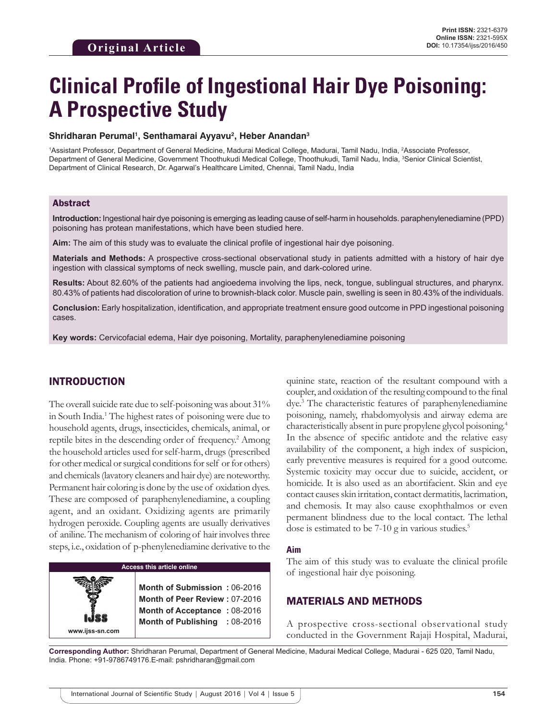# **Clinical Profile of Ingestional Hair Dye Poisoning: A Prospective Study**

#### **Shridharan Perumal1 , Senthamarai Ayyavu2 , Heber Anandan3**

<sup>1</sup>Assistant Professor, Department of General Medicine, Madurai Medical College, Madurai, Tamil Nadu, India, <sup>2</sup>Associate Professor, Department of General Medicine, Government Thoothukudi Medical College, Thoothukudi, Tamil Nadu, India, <sup>3</sup>Senior Clinical Scientist, Department of Clinical Research, Dr. Agarwal's Healthcare Limited, Chennai, Tamil Nadu, India

### Abstract

**Introduction:** Ingestional hair dye poisoning is emerging as leading cause of self-harm in households. paraphenylenediamine (PPD) poisoning has protean manifestations, which have been studied here.

**Aim:** The aim of this study was to evaluate the clinical profile of ingestional hair dye poisoning.

**Materials and Methods:** A prospective cross-sectional observational study in patients admitted with a history of hair dye ingestion with classical symptoms of neck swelling, muscle pain, and dark-colored urine.

**Results:** About 82.60% of the patients had angioedema involving the lips, neck, tongue, sublingual structures, and pharynx. 80.43% of patients had discoloration of urine to brownish-black color. Muscle pain, swelling is seen in 80.43% of the individuals.

**Conclusion:** Early hospitalization, identification, and appropriate treatment ensure good outcome in PPD ingestional poisoning cases.

**Key words:** Cervicofacial edema, Hair dye poisoning, Mortality, paraphenylenediamine poisoning

## INTRODUCTION

The overall suicide rate due to self-poisoning was about 31% in South India.1 The highest rates of poisoning were due to household agents, drugs, insecticides, chemicals, animal, or reptile bites in the descending order of frequency.<sup>2</sup> Among the household articles used for self-harm, drugs (prescribed for other medical or surgical conditions for self or for others) and chemicals (lavatory cleaners and hair dye) are noteworthy. Permanent hair coloring is done by the use of oxidation dyes. These are composed of paraphenylenediamine, a coupling agent, and an oxidant. Oxidizing agents are primarily hydrogen peroxide. Coupling agents are usually derivatives of aniline. The mechanism of coloring of hair involves three steps, i.e., oxidation of p-phenylenediamine derivative to the

#### **Access this article online**

**www.ijss-sn.com**

**Month of Submission :** 06-2016 **Month of Peer Review :** 07-2016 **Month of Acceptance** : 08-2016 **Month of Publishing :** 08-2016 quinine state, reaction of the resultant compound with a coupler, and oxidation of the resulting compound to the final dye.3 The characteristic features of paraphenylenediamine poisoning, namely, rhabdomyolysis and airway edema are characteristically absent in pure propylene glycol poisoning.4 In the absence of specific antidote and the relative easy availability of the component, a high index of suspicion, early preventive measures is required for a good outcome. Systemic toxicity may occur due to suicide, accident, or homicide. It is also used as an abortifacient. Skin and eye contact causes skin irritation, contact dermatitis, lacrimation, and chemosis. It may also cause exophthalmos or even permanent blindness due to the local contact. The lethal dose is estimated to be  $7-10$  g in various studies.<sup>5</sup>

#### **Aim**

The aim of this study was to evaluate the clinical profile of ingestional hair dye poisoning.

## MATERIALS AND METHODS

A prospective cross-sectional observational study conducted in the Government Rajaji Hospital, Madurai,

**Corresponding Author:** Shridharan Perumal, Department of General Medicine, Madurai Medical College, Madurai - 625 020, Tamil Nadu, India. Phone: +91-9786749176.E-mail: pshridharan@gmail.com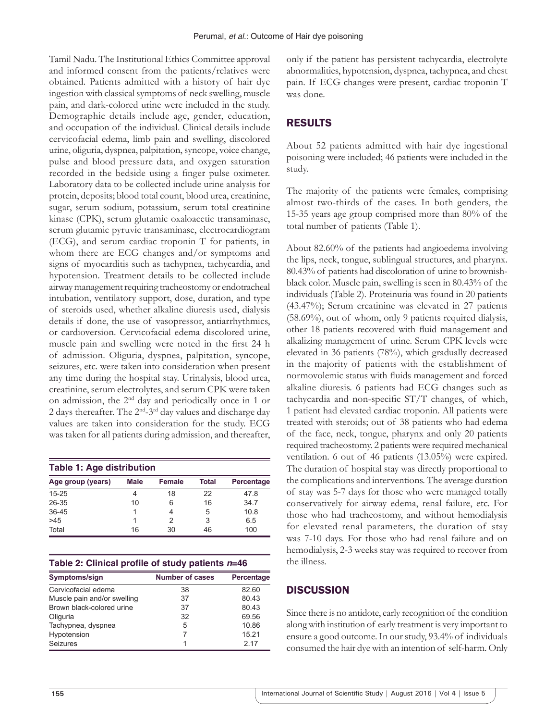Tamil Nadu. The Institutional Ethics Committee approval and informed consent from the patients/relatives were obtained. Patients admitted with a history of hair dye ingestion with classical symptoms of neck swelling, muscle pain, and dark-colored urine were included in the study. Demographic details include age, gender, education, and occupation of the individual. Clinical details include cervicofacial edema, limb pain and swelling, discolored urine, oliguria, dyspnea, palpitation, syncope, voice change, pulse and blood pressure data, and oxygen saturation recorded in the bedside using a finger pulse oximeter. Laboratory data to be collected include urine analysis for protein, deposits; blood total count, blood urea, creatinine, sugar, serum sodium, potassium, serum total creatinine kinase (CPK), serum glutamic oxaloacetic transaminase, serum glutamic pyruvic transaminase, electrocardiogram (ECG), and serum cardiac troponin T for patients, in whom there are ECG changes and/or symptoms and signs of myocarditis such as tachypnea, tachycardia, and hypotension. Treatment details to be collected include airway management requiring tracheostomy or endotracheal intubation, ventilatory support, dose, duration, and type of steroids used, whether alkaline diuresis used, dialysis details if done, the use of vasopressor, antiarrhythmics, or cardioversion. Cervicofacial edema discolored urine, muscle pain and swelling were noted in the first 24 h of admission. Oliguria, dyspnea, palpitation, syncope, seizures, etc. were taken into consideration when present any time during the hospital stay. Urinalysis, blood urea, creatinine, serum electrolytes, and serum CPK were taken on admission, the 2nd day and periodically once in 1 or 2 days thereafter. The  $2<sup>nd</sup> - 3<sup>rd</sup>$  day values and discharge day values are taken into consideration for the study. ECG was taken for all patients during admission, and thereafter,

| Table 1: Age distribution |             |        |       |            |  |  |  |
|---------------------------|-------------|--------|-------|------------|--|--|--|
| Age group (years)         | <b>Male</b> | Female | Total | Percentage |  |  |  |
| $15 - 25$                 | 4           | 18     | 22    | 478        |  |  |  |
| $26 - 35$                 | 10          | 6      | 16    | 34.7       |  |  |  |
| $36 - 45$                 |             |        | 5     | 10.8       |  |  |  |
| >45                       |             |        | 3     | 6.5        |  |  |  |
| Total                     | 16          | 30     | 46    | 100        |  |  |  |

|  |  |  | Table 2: Clinical profile of study patients n=46 |
|--|--|--|--------------------------------------------------|
|--|--|--|--------------------------------------------------|

| Symptoms/sign               | <b>Number of cases</b> | Percentage |
|-----------------------------|------------------------|------------|
| Cervicofacial edema         | 38                     | 82.60      |
| Muscle pain and/or swelling | 37                     | 80.43      |
| Brown black-colored urine   | 37                     | 80.43      |
| Oliguria                    | 32                     | 69.56      |
| Tachypnea, dyspnea          | 5                      | 10.86      |
| Hypotension                 |                        | 15.21      |
| <b>Seizures</b>             |                        | 2 17       |

only if the patient has persistent tachycardia, electrolyte abnormalities, hypotension, dyspnea, tachypnea, and chest pain. If ECG changes were present, cardiac troponin T was done.

# RESULTS

About 52 patients admitted with hair dye ingestional poisoning were included; 46 patients were included in the study.

The majority of the patients were females, comprising almost two-thirds of the cases. In both genders, the 15-35 years age group comprised more than 80% of the total number of patients (Table 1).

About 82.60% of the patients had angioedema involving the lips, neck, tongue, sublingual structures, and pharynx. 80.43% of patients had discoloration of urine to brownishblack color. Muscle pain, swelling is seen in 80.43% of the individuals (Table 2). Proteinuria was found in 20 patients (43.47%); Serum creatinine was elevated in 27 patients (58.69%), out of whom, only 9 patients required dialysis, other 18 patients recovered with fluid management and alkalizing management of urine. Serum CPK levels were elevated in 36 patients (78%), which gradually decreased in the majority of patients with the establishment of normovolemic status with fluids management and forced alkaline diuresis. 6 patients had ECG changes such as tachycardia and non-specific ST/T changes, of which, 1 patient had elevated cardiac troponin. All patients were treated with steroids; out of 38 patients who had edema of the face, neck, tongue, pharynx and only 20 patients required tracheostomy. 2 patients were required mechanical ventilation. 6 out of 46 patients (13.05%) were expired. The duration of hospital stay was directly proportional to the complications and interventions. The average duration of stay was 5-7 days for those who were managed totally conservatively for airway edema, renal failure, etc. For those who had tracheostomy, and without hemodialysis for elevated renal parameters, the duration of stay was 7-10 days. For those who had renal failure and on hemodialysis, 2-3 weeks stay was required to recover from the illness.

# **DISCUSSION**

Since there is no antidote, early recognition of the condition along with institution of early treatment is very important to ensure a good outcome. In our study, 93.4% of individuals consumed the hair dye with an intention of self-harm. Only